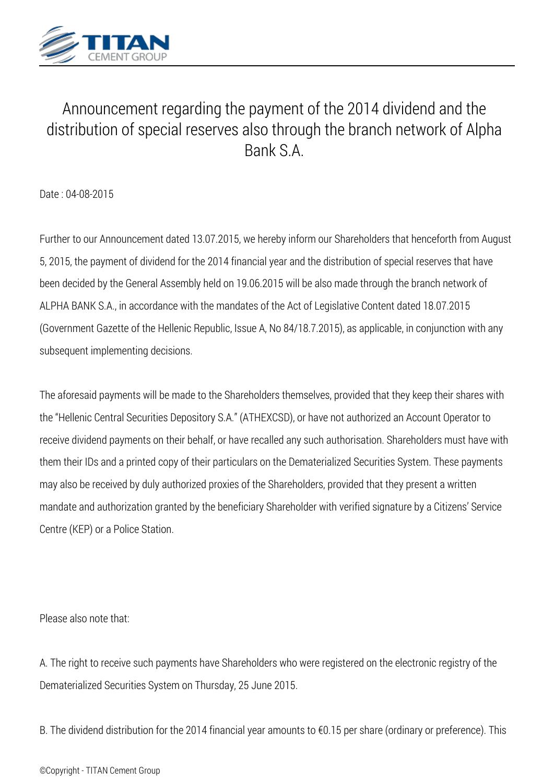

## *Announcement regarding the payment of the 2014 dividend and the distribution of special reserves also through the branch network of Alpha Bank S.A.*

*Date : 04-08-2015*

*Further to our Announcement dated 13.07.2015, we hereby inform our Shareholders that henceforth from August 5, 2015, the payment of dividend for the 2014 financial year and the distribution of special reserves that have been decided by the General Assembly held on 19.06.2015 will be also made through the branch network of ALPHA BANK S.A., in accordance with the mandates of the Act of Legislative Content dated 18.07.2015 (Government Gazette of the Hellenic Republic, Issue A, No 84/18.7.2015), as applicable, in conjunction with any subsequent implementing decisions.*

*The aforesaid payments will be made to the Shareholders themselves, provided that they keep their shares with the "Hellenic Central Securities Depository S.A." (ATHEXCSD), or have not authorized an Account Operator to receive dividend payments on their behalf, or have recalled any such authorisation. Shareholders must have with them their IDs and a printed copy of their particulars on the Dematerialized Securities System. These payments may also be received by duly authorized proxies of the Shareholders, provided that they present a written mandate and authorization granted by the beneficiary Shareholder with verified signature by a Citizens' Service Centre (KEP) or a Police Station.*

*Please also note that:*

*A. The right to receive such payments have Shareholders who were registered on the electronic registry of the Dematerialized Securities System on Thursday, 25 June 2015.*

*B. The dividend distribution for the 2014 financial year amounts to €0.15 per share (ordinary or preference). This*